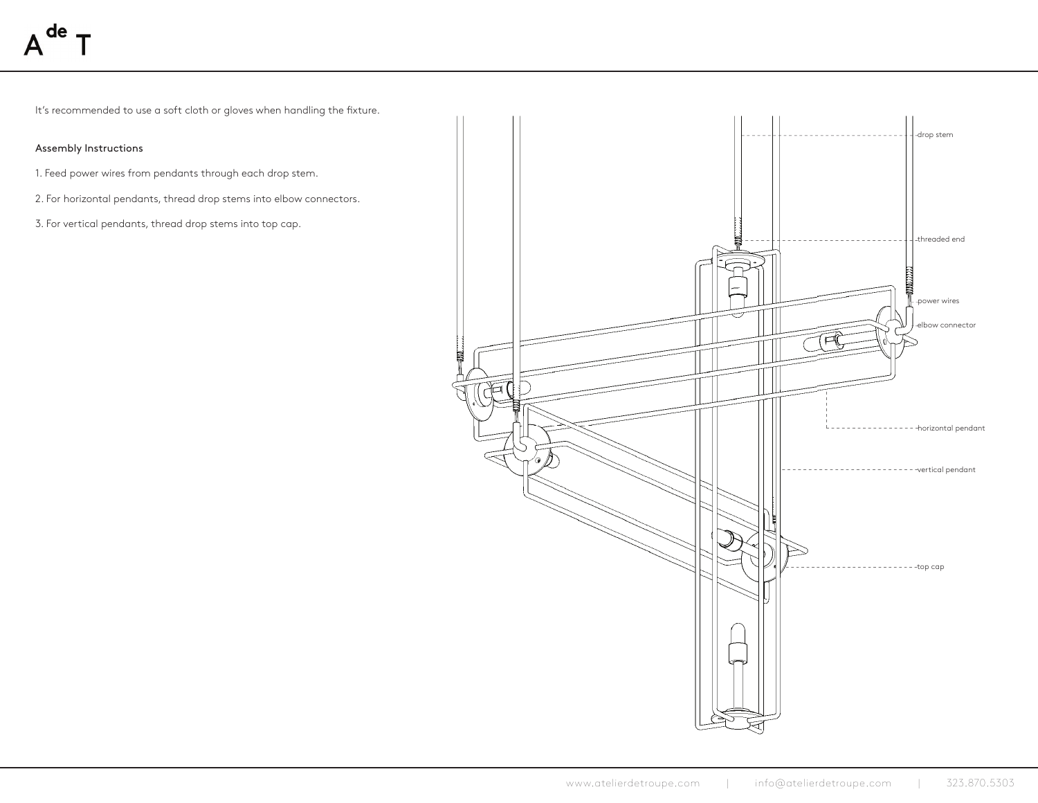It's recommended to use a soft cloth or gloves when handling the fixture.

# Assembly Instructions

- 1. Feed power wires from pendants through each drop stem.
- 2. For horizontal pendants, thread drop stems into elbow connectors.
- 3. For vertical pendants, thread drop stems into top cap.

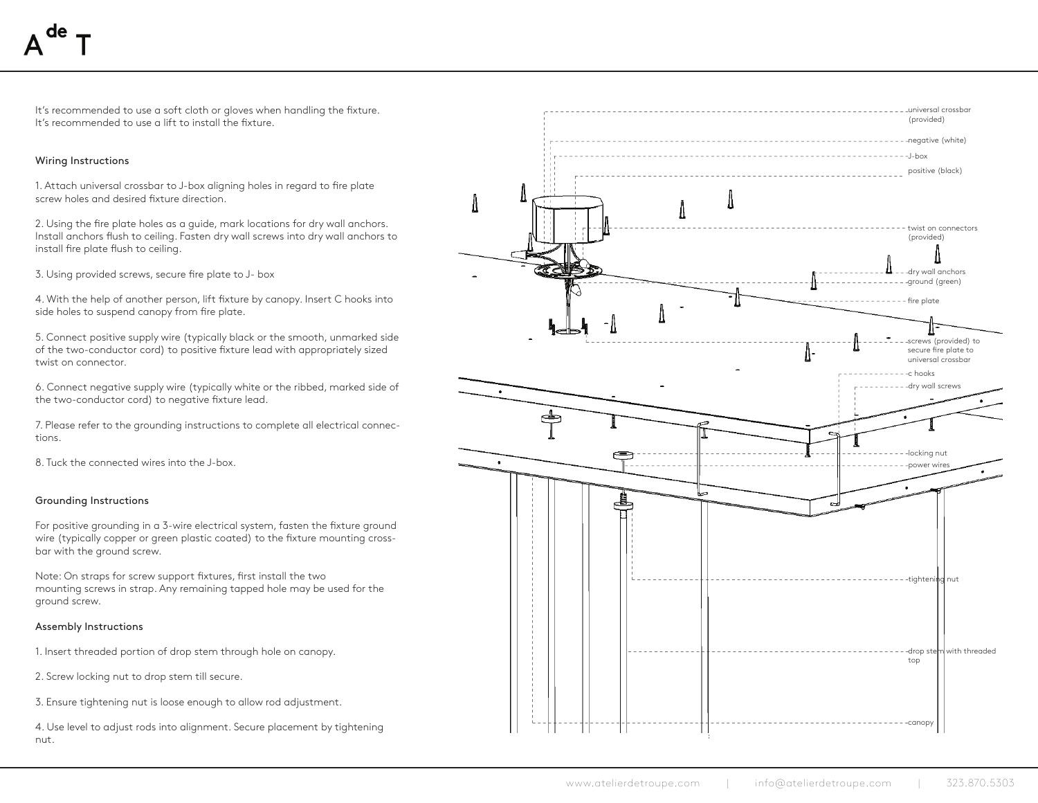It's recommended to use a soft cloth or gloves when handling the fixture. It's recommended to use a lift to install the fixture.

## Wiring Instructions

1. Attach universal crossbar to J-box aligning holes in regard to fire plate screw holes and desired fixture direction.

2. Using the fire plate holes as a guide, mark locations for dry wall anchors. Install anchors flush to ceiling. Fasten dry wall screws into dry wall anchors to install fire plate flush to ceiling.

3. Using provided screws, secure fire plate to J- box

4. With the help of another person, lift fixture by canopy. Insert C hooks into side holes to suspend canopy from fire plate.

5. Connect positive supply wire (typically black or the smooth, unmarked side of the two-conductor cord) to positive fixture lead with appropriately sized twist on connector.

6. Connect negative supply wire (typically white or the ribbed, marked side of the two-conductor cord) to negative fixture lead.

7. Please refer to the grounding instructions to complete all electrical connections.

8. Tuck the connected wires into the J-box.

### Grounding Instructions

For positive grounding in a 3-wire electrical system, fasten the fixture ground wire (typically copper or green plastic coated) to the fixture mounting crossbar with the ground screw.

Note: On straps for screw support fixtures, first install the two mounting screws in strap. Any remaining tapped hole may be used for the ground screw.

#### Assembly Instructions

1. Insert threaded portion of drop stem through hole on canopy.

2. Screw locking nut to drop stem till secure.

3. Ensure tightening nut is loose enough to allow rod adjustment.

4. Use level to adjust rods into alignment. Secure placement by tightening nut.

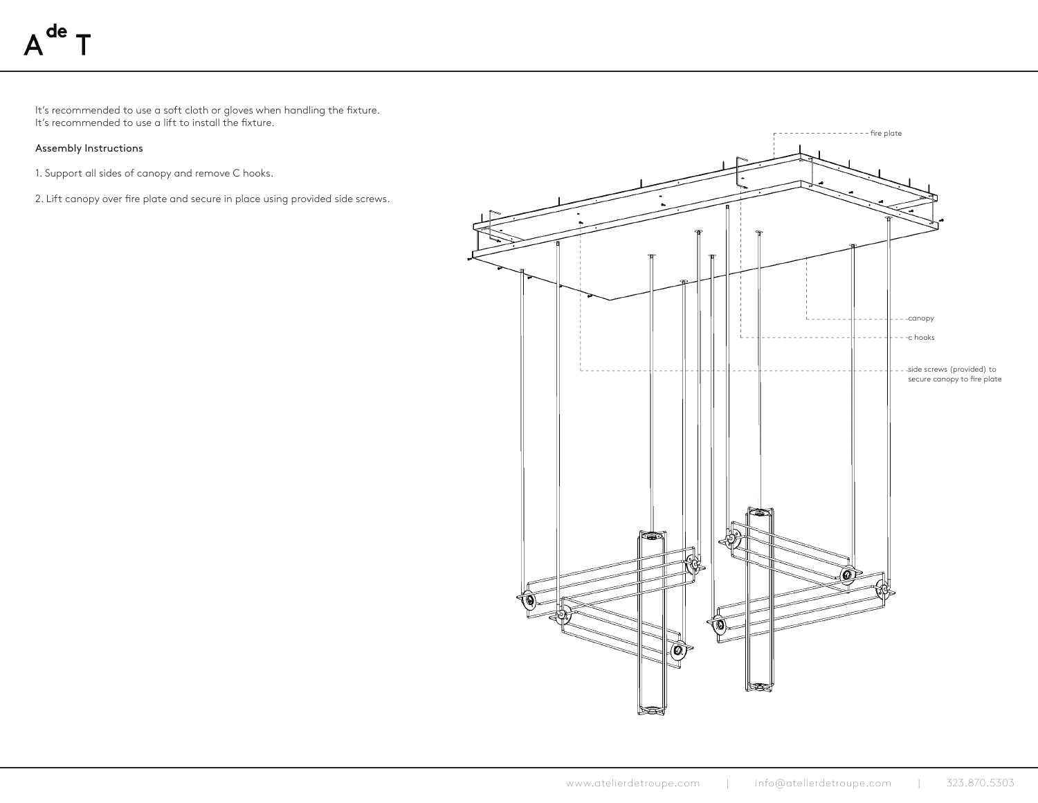It's recommended to use a soft cloth or gloves when handling the fixture. It's recommended to use a lift to install the fixture.

# Assembly Instructions

- 1. Support all sides of canopy and remove C hooks.
- 2. Lift canopy over fire plate and secure in place using provided side screws.